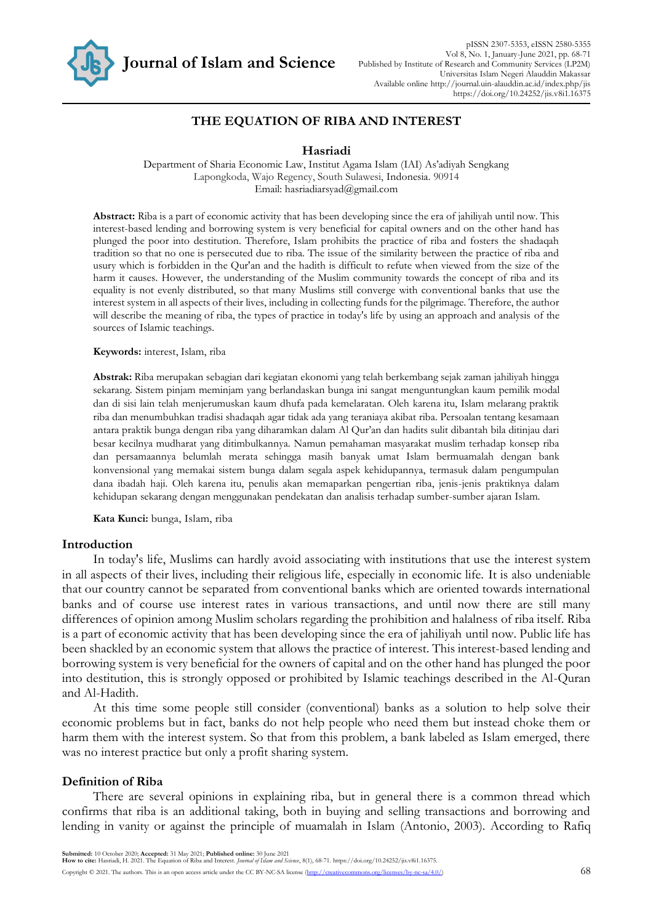

## **THE EQUATION OF RIBA AND INTEREST**

#### **Hasriadi**

Department of Sharia Economic Law, Institut Agama Islam (IAI) As'adiyah Sengkang Lapongkoda, Wajo Regency, South Sulawesi, Indonesia. 90914 Email: hasriadiarsyad@gmail.com

**Abstract:** Riba is a part of economic activity that has been developing since the era of jahiliyah until now. This interest-based lending and borrowing system is very beneficial for capital owners and on the other hand has plunged the poor into destitution. Therefore, Islam prohibits the practice of riba and fosters the shadaqah tradition so that no one is persecuted due to riba. The issue of the similarity between the practice of riba and usury which is forbidden in the Qur'an and the hadith is difficult to refute when viewed from the size of the harm it causes. However, the understanding of the Muslim community towards the concept of riba and its equality is not evenly distributed, so that many Muslims still converge with conventional banks that use the interest system in all aspects of their lives, including in collecting funds for the pilgrimage. Therefore, the author will describe the meaning of riba, the types of practice in today's life by using an approach and analysis of the sources of Islamic teachings.

**Keywords:** interest, Islam, riba

**Abstrak:** Riba merupakan sebagian dari kegiatan ekonomi yang telah berkembang sejak zaman jahiliyah hingga sekarang. Sistem pinjam meminjam yang berlandaskan bunga ini sangat menguntungkan kaum pemilik modal dan di sisi lain telah menjerumuskan kaum dhufa pada kemelaratan. Oleh karena itu, Islam melarang praktik riba dan menumbuhkan tradisi shadaqah agar tidak ada yang teraniaya akibat riba. Persoalan tentang kesamaan antara praktik bunga dengan riba yang diharamkan dalam Al Qur'an dan hadits sulit dibantah bila ditinjau dari besar kecilnya mudharat yang ditimbulkannya. Namun pemahaman masyarakat muslim terhadap konsep riba dan persamaannya belumlah merata sehingga masih banyak umat Islam bermuamalah dengan bank konvensional yang memakai sistem bunga dalam segala aspek kehidupannya, termasuk dalam pengumpulan dana ibadah haji. Oleh karena itu, penulis akan memaparkan pengertian riba, jenis-jenis praktiknya dalam kehidupan sekarang dengan menggunakan pendekatan dan analisis terhadap sumber-sumber ajaran Islam.

**Kata Kunci:** bunga, Islam, riba

#### **Introduction**

In today's life, Muslims can hardly avoid associating with institutions that use the interest system in all aspects of their lives, including their religious life, especially in economic life. It is also undeniable that our country cannot be separated from conventional banks which are oriented towards international banks and of course use interest rates in various transactions, and until now there are still many differences of opinion among Muslim scholars regarding the prohibition and halalness of riba itself. Riba is a part of economic activity that has been developing since the era of jahiliyah until now. Public life has been shackled by an economic system that allows the practice of interest. This interest-based lending and borrowing system is very beneficial for the owners of capital and on the other hand has plunged the poor into destitution, this is strongly opposed or prohibited by Islamic teachings described in the Al-Quran and Al-Hadith.

At this time some people still consider (conventional) banks as a solution to help solve their economic problems but in fact, banks do not help people who need them but instead choke them or harm them with the interest system. So that from this problem, a bank labeled as Islam emerged, there was no interest practice but only a profit sharing system.

#### **Definition of Riba**

There are several opinions in explaining riba, but in general there is a common thread which confirms that riba is an additional taking, both in buying and selling transactions and borrowing and lending in vanity or against the principle of muamalah in Islam (Antonio, 2003). According to Rafiq

Copyright © 2021. The authors. This is an open access article under the CC BY-NC-SA license (http://creativecommons.org/licenses/by-nc-sa/4.0/) 68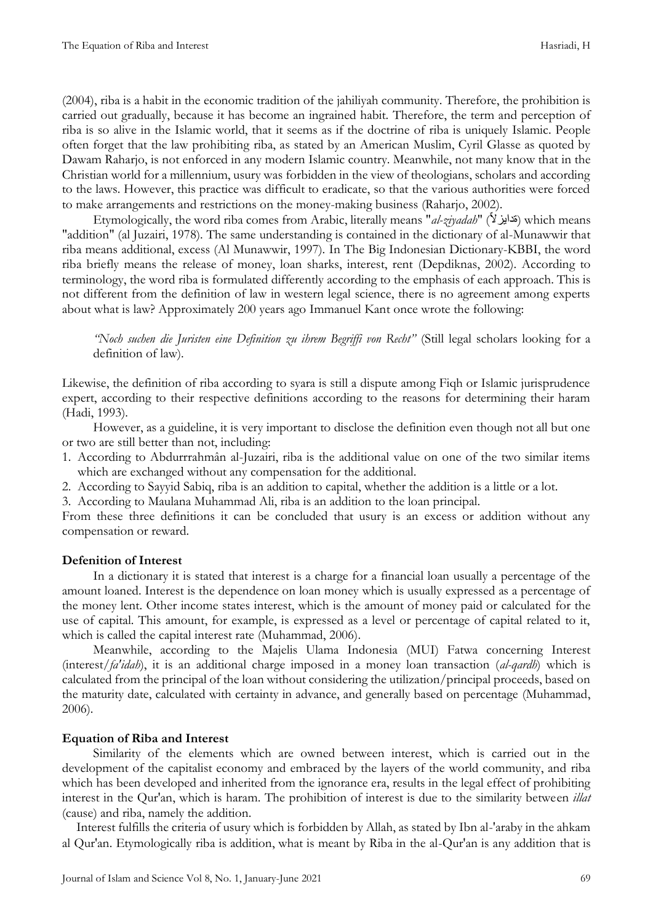(2004), riba is a habit in the economic tradition of the jahiliyah community. Therefore, the prohibition is carried out gradually, because it has become an ingrained habit. Therefore, the term and perception of riba is so alive in the Islamic world, that it seems as if the doctrine of riba is uniquely Islamic. People often forget that the law prohibiting riba, as stated by an American Muslim, Cyril Glasse as quoted by Dawam Raharjo, is not enforced in any modern Islamic country. Meanwhile, not many know that in the Christian world for a millennium, usury was forbidden in the view of theologians, scholars and according to the laws. However, this practice was difficult to eradicate, so that the various authorities were forced to make arrangements and restrictions on the money-making business (Raharjo, 2002).

Etymologically, the word riba comes from Arabic, literally means "*al-ziyadah*" (قدايزلاً) which means "addition" (al Juzairi, 1978). The same understanding is contained in the dictionary of al-Munawwir that riba means additional, excess (Al Munawwir, 1997). In The Big Indonesian Dictionary-KBBI, the word riba briefly means the release of money, loan sharks, interest, rent (Depdiknas, 2002). According to terminology, the word riba is formulated differently according to the emphasis of each approach. This is not different from the definition of law in western legal science, there is no agreement among experts about what is law? Approximately 200 years ago Immanuel Kant once wrote the following:

*"Noch suchen die Juristen eine Definition zu ihrem Begriffi von Recht"* (Still legal scholars looking for a definition of law).

Likewise, the definition of riba according to syara is still a dispute among Fiqh or Islamic jurisprudence expert, according to their respective definitions according to the reasons for determining their haram (Hadi, 1993).

However, as a guideline, it is very important to disclose the definition even though not all but one or two are still better than not, including:

- 1. According to Abdurrrahmân al-Juzairi, riba is the additional value on one of the two similar items which are exchanged without any compensation for the additional.
- 2. According to Sayyid Sabiq, riba is an addition to capital, whether the addition is a little or a lot.

3. According to Maulana Muhammad Ali, riba is an addition to the loan principal.

From these three definitions it can be concluded that usury is an excess or addition without any compensation or reward.

## **Defenition of Interest**

In a dictionary it is stated that interest is a charge for a financial loan usually a percentage of the amount loaned. Interest is the dependence on loan money which is usually expressed as a percentage of the money lent. Other income states interest, which is the amount of money paid or calculated for the use of capital. This amount, for example, is expressed as a level or percentage of capital related to it, which is called the capital interest rate (Muhammad, 2006).

Meanwhile, according to the Majelis Ulama Indonesia (MUI) Fatwa concerning Interest (interest/*fa'idah*), it is an additional charge imposed in a money loan transaction (*al-qardh*) which is calculated from the principal of the loan without considering the utilization/principal proceeds, based on the maturity date, calculated with certainty in advance, and generally based on percentage (Muhammad, 2006).

## **Equation of Riba and Interest**

Similarity of the elements which are owned between interest, which is carried out in the development of the capitalist economy and embraced by the layers of the world community, and riba which has been developed and inherited from the ignorance era, results in the legal effect of prohibiting interest in the Qur'an, which is haram. The prohibition of interest is due to the similarity between *illat* (cause) and riba, namely the addition.

Interest fulfills the criteria of usury which is forbidden by Allah, as stated by Ibn al-'araby in the ahkam al Qur'an. Etymologically riba is addition, what is meant by Riba in the al-Qur'an is any addition that is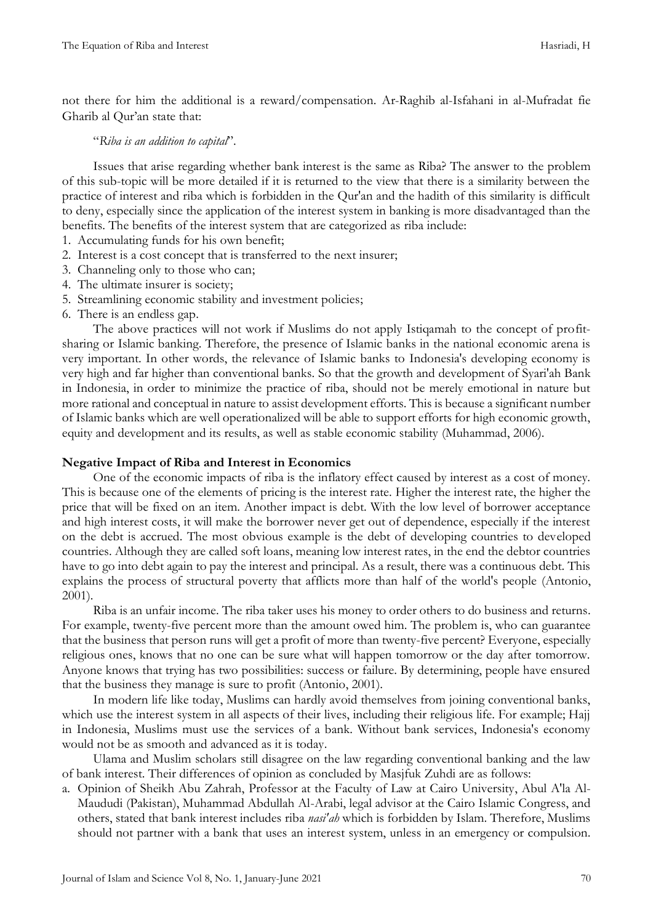not there for him the additional is a reward/compensation. Ar-Raghib al-Isfahani in al-Mufradat fie Gharib al Qur'an state that:

## "*Riba is an addition to capital*".

Issues that arise regarding whether bank interest is the same as Riba? The answer to the problem of this sub-topic will be more detailed if it is returned to the view that there is a similarity between the practice of interest and riba which is forbidden in the Qur'an and the hadith of this similarity is difficult to deny, especially since the application of the interest system in banking is more disadvantaged than the benefits. The benefits of the interest system that are categorized as riba include:

- 1. Accumulating funds for his own benefit;
- 2. Interest is a cost concept that is transferred to the next insurer;
- 3. Channeling only to those who can;
- 4. The ultimate insurer is society;
- 5. Streamlining economic stability and investment policies;
- 6. There is an endless gap.

The above practices will not work if Muslims do not apply Istiqamah to the concept of profitsharing or Islamic banking. Therefore, the presence of Islamic banks in the national economic arena is very important. In other words, the relevance of Islamic banks to Indonesia's developing economy is very high and far higher than conventional banks. So that the growth and development of Syari'ah Bank in Indonesia, in order to minimize the practice of riba, should not be merely emotional in nature but more rational and conceptual in nature to assist development efforts. This is because a significant number of Islamic banks which are well operationalized will be able to support efforts for high economic growth, equity and development and its results, as well as stable economic stability (Muhammad, 2006).

# **Negative Impact of Riba and Interest in Economics**

One of the economic impacts of riba is the inflatory effect caused by interest as a cost of money. This is because one of the elements of pricing is the interest rate. Higher the interest rate, the higher the price that will be fixed on an item. Another impact is debt. With the low level of borrower acceptance and high interest costs, it will make the borrower never get out of dependence, especially if the interest on the debt is accrued. The most obvious example is the debt of developing countries to developed countries. Although they are called soft loans, meaning low interest rates, in the end the debtor countries have to go into debt again to pay the interest and principal. As a result, there was a continuous debt. This explains the process of structural poverty that afflicts more than half of the world's people (Antonio, 2001).

Riba is an unfair income. The riba taker uses his money to order others to do business and returns. For example, twenty-five percent more than the amount owed him. The problem is, who can guarantee that the business that person runs will get a profit of more than twenty-five percent? Everyone, especially religious ones, knows that no one can be sure what will happen tomorrow or the day after tomorrow. Anyone knows that trying has two possibilities: success or failure. By determining, people have ensured that the business they manage is sure to profit (Antonio, 2001).

In modern life like today, Muslims can hardly avoid themselves from joining conventional banks, which use the interest system in all aspects of their lives, including their religious life. For example; Hajj in Indonesia, Muslims must use the services of a bank. Without bank services, Indonesia's economy would not be as smooth and advanced as it is today.

Ulama and Muslim scholars still disagree on the law regarding conventional banking and the law of bank interest. Their differences of opinion as concluded by Masjfuk Zuhdi are as follows:

a. Opinion of Sheikh Abu Zahrah, Professor at the Faculty of Law at Cairo University, Abul A'la Al-Maududi (Pakistan), Muhammad Abdullah Al-Arabi, legal advisor at the Cairo Islamic Congress, and others, stated that bank interest includes riba *nasi'ah* which is forbidden by Islam. Therefore, Muslims should not partner with a bank that uses an interest system, unless in an emergency or compulsion.